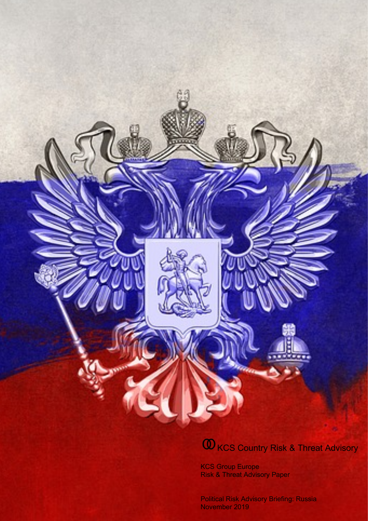# **W** KCS Country Risk & Threat Advisory

KCS Group Europe Risk & Threat Advisory Paper

Political Risk Advisory Briefing: Russia November 2019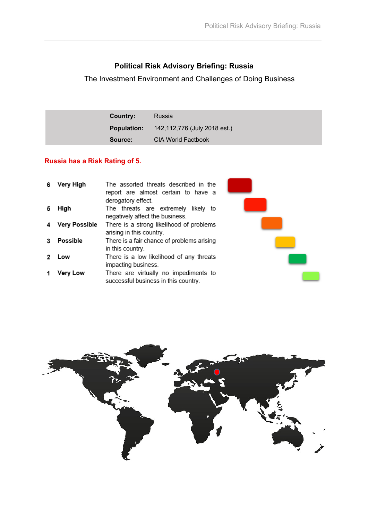# **Political Risk Advisory Briefing: Russia**

 $\mathcal{L}_\text{max}$  , and the contribution of the contribution of the contribution of the contribution of the contribution of the contribution of the contribution of the contribution of the contribution of the contribution of t

The Investment Environment and Challenges of Doing Business

| Country:           | Russia                       |
|--------------------|------------------------------|
| <b>Population:</b> | 142,112,776 (July 2018 est.) |
| Source:            | <b>CIA World Factbook</b>    |

## **Russia has a Risk Rating of 5.**

| Very High     | The assorted threats described in the<br>report are almost certain to have a<br>derogatory effect. |  |
|---------------|----------------------------------------------------------------------------------------------------|--|
| High          | The threats are extremely likely to<br>negatively affect the business.                             |  |
| Very Possible | There is a strong likelihood of problems<br>arising in this country.                               |  |
| Possible      | There is a fair chance of problems arising<br>in this country.                                     |  |
| Low           | There is a low likelihood of any threats<br>impacting business.                                    |  |
| Very Low      | There are virtually no impediments to<br>successful business in this country.                      |  |

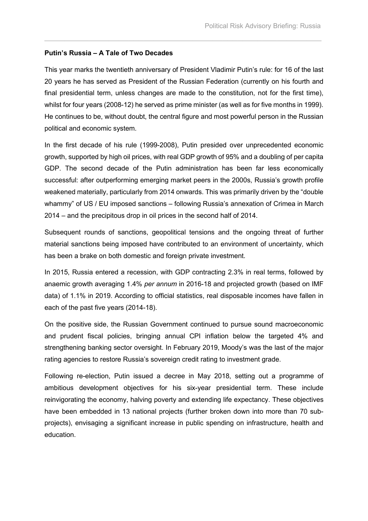#### **Putin's Russia – A Tale of Two Decades**

This year marks the twentieth anniversary of President Vladimir Putin's rule: for 16 of the last 20 years he has served as President of the Russian Federation (currently on his fourth and final presidential term, unless changes are made to the constitution, not for the first time), whilst for four years (2008-12) he served as prime minister (as well as for five months in 1999). He continues to be, without doubt, the central figure and most powerful person in the Russian political and economic system.

 $\mathcal{L}_\text{max}$  , and the contribution of the contribution of the contribution of the contribution of the contribution of the contribution of the contribution of the contribution of the contribution of the contribution of t

In the first decade of his rule (1999-2008), Putin presided over unprecedented economic growth, supported by high oil prices, with real GDP growth of 95% and a doubling of per capita GDP. The second decade of the Putin administration has been far less economically successful: after outperforming emerging market peers in the 2000s, Russia's growth profile weakened materially, particularly from 2014 onwards. This was primarily driven by the "double whammy" of US / EU imposed sanctions – following Russia's annexation of Crimea in March 2014 – and the precipitous drop in oil prices in the second half of 2014.

Subsequent rounds of sanctions, geopolitical tensions and the ongoing threat of further material sanctions being imposed have contributed to an environment of uncertainty, which has been a brake on both domestic and foreign private investment.

In 2015, Russia entered a recession, with GDP contracting 2.3% in real terms, followed by anaemic growth averaging 1.4% *per annum* in 2016-18 and projected growth (based on IMF data) of 1.1% in 2019. According to official statistics, real disposable incomes have fallen in each of the past five years (2014-18).

On the positive side, the Russian Government continued to pursue sound macroeconomic and prudent fiscal policies, bringing annual CPI inflation below the targeted 4% and strengthening banking sector oversight. In February 2019, Moody's was the last of the major rating agencies to restore Russia's sovereign credit rating to investment grade.

Following re-election, Putin issued a decree in May 2018, setting out a programme of ambitious development objectives for his six-year presidential term. These include reinvigorating the economy, halving poverty and extending life expectancy. These objectives have been embedded in 13 national projects (further broken down into more than 70 subprojects), envisaging a significant increase in public spending on infrastructure, health and education.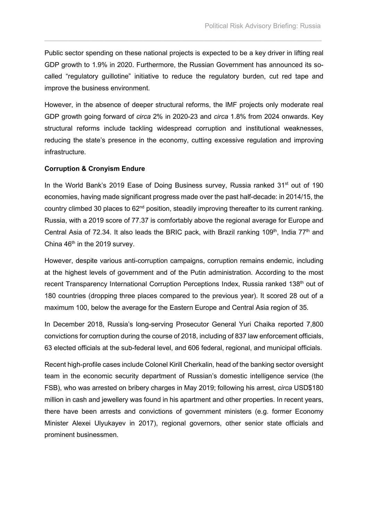Public sector spending on these national projects is expected to be a key driver in lifting real GDP growth to 1.9% in 2020. Furthermore, the Russian Government has announced its socalled "regulatory guillotine" initiative to reduce the regulatory burden, cut red tape and improve the business environment.

 $\mathcal{L}_\text{max}$  , and the contribution of the contribution of the contribution of the contribution of the contribution of the contribution of the contribution of the contribution of the contribution of the contribution of t

However, in the absence of deeper structural reforms, the IMF projects only moderate real GDP growth going forward of *circa* 2% in 2020-23 and *circa* 1.8% from 2024 onwards. Key structural reforms include tackling widespread corruption and institutional weaknesses, reducing the state's presence in the economy, cutting excessive regulation and improving infrastructure.

#### **Corruption & Cronyism Endure**

In the World Bank's 2019 Ease of Doing Business survey, Russia ranked 31<sup>st</sup> out of 190 economies, having made significant progress made over the past half-decade: in 2014/15, the country climbed 30 places to 62<sup>nd</sup> position, steadily improving thereafter to its current ranking. Russia, with a 2019 score of 77.37 is comfortably above the regional average for Europe and Central Asia of 72.34. It also leads the BRIC pack, with Brazil ranking 109<sup>th</sup>, India 77<sup>th</sup> and China  $46<sup>th</sup>$  in the 2019 survey.

However, despite various anti-corruption campaigns, corruption remains endemic, including at the highest levels of government and of the Putin administration. According to the most recent Transparency International Corruption Perceptions Index, Russia ranked 138<sup>th</sup> out of 180 countries (dropping three places compared to the previous year). It scored 28 out of a maximum 100, below the average for the Eastern Europe and Central Asia region of 35.

In December 2018, Russia's long-serving Prosecutor General Yuri Chaika reported 7,800 convictions for corruption during the course of 2018, including of 837 law enforcement officials, 63 elected officials at the sub-federal level, and 606 federal, regional, and municipal officials.

Recent high-profile cases include Colonel Kirill Cherkalin, head of the banking sector oversight team in the economic security department of Russian's domestic intelligence service (the FSB), who was arrested on bribery charges in May 2019; following his arrest, *circa* USD\$180 million in cash and jewellery was found in his apartment and other properties. In recent years, there have been arrests and convictions of government ministers (e.g. former Economy Minister Alexei Ulyukayev in 2017), regional governors, other senior state officials and prominent businessmen.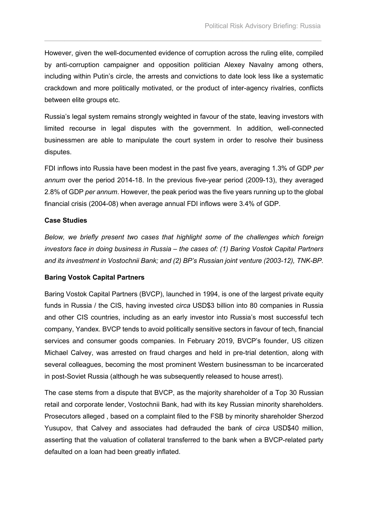However, given the well-documented evidence of corruption across the ruling elite, compiled by anti-corruption campaigner and opposition politician Alexey Navalny among others, including within Putin's circle, the arrests and convictions to date look less like a systematic crackdown and more politically motivated, or the product of inter-agency rivalries, conflicts between elite groups etc.

 $\mathcal{L}_\text{max}$  , and the contribution of the contribution of the contribution of the contribution of the contribution of the contribution of the contribution of the contribution of the contribution of the contribution of t

Russia's legal system remains strongly weighted in favour of the state, leaving investors with limited recourse in legal disputes with the government. In addition, well-connected businessmen are able to manipulate the court system in order to resolve their business disputes.

FDI inflows into Russia have been modest in the past five years, averaging 1.3% of GDP *per annum* over the period 2014-18. In the previous five-year period (2009-13), they averaged 2.8% of GDP *per annum*. However, the peak period was the five years running up to the global financial crisis (2004-08) when average annual FDI inflows were 3.4% of GDP.

#### **Case Studies**

*Below, we briefly present two cases that highlight some of the challenges which foreign investors face in doing business in Russia – the cases of: (1) Baring Vostok Capital Partners and its investment in Vostochnii Bank; and (2) BP's Russian joint venture (2003-12), TNK-BP.*

#### **Baring Vostok Capital Partners**

Baring Vostok Capital Partners (BVCP), launched in 1994, is one of the largest private equity funds in Russia / the CIS, having invested *circa* USD\$3 billion into 80 companies in Russia and other CIS countries, including as an early investor into Russia's most successful tech company, Yandex. BVCP tends to avoid politically sensitive sectors in favour of tech, financial services and consumer goods companies. In February 2019, BVCP's founder, US citizen Michael Calvey, was arrested on fraud charges and held in pre-trial detention, along with several colleagues, becoming the most prominent Western businessman to be incarcerated in post-Soviet Russia (although he was subsequently released to house arrest).

The case stems from a dispute that BVCP, as the majority shareholder of a Top 30 Russian retail and corporate lender, Vostochnii Bank, had with its key Russian minority shareholders. Prosecutors alleged , based on a complaint filed to the FSB by minority shareholder Sherzod Yusupov, that Calvey and associates had defrauded the bank of *circa* USD\$40 million, asserting that the valuation of collateral transferred to the bank when a BVCP-related party defaulted on a loan had been greatly inflated.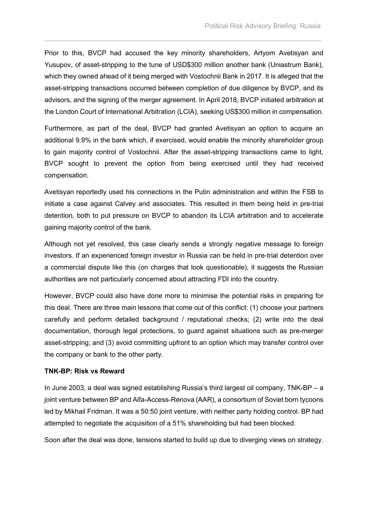Prior to this, BVCP had accused the key minority shareholders, Artyom Avetisyan and Yusupov, of asset-stripping to the tune of USD\$300 million another bank (Uniastrum Bank), which they owned ahead of it being merged with Vostochnii Bank in 2017. It is alleged that the asset-stripping transactions occurred between completion of due diligence by BVCP, and its advisors, and the signing of the merger agreement. In April 2018, BVCP initiated arbitration at the London Court of International Arbitration (LCIA), seeking US\$300 million in compensation.

 $\mathcal{L}_\text{max}$  , and the contribution of the contribution of the contribution of the contribution of the contribution of the contribution of the contribution of the contribution of the contribution of the contribution of t

Furthermore, as part of the deal, BVCP had granted Avetisyan an option to acquire an additional 9.9% in the bank which, if exercised, would enable the minority shareholder group to gain majority control of Vostochnii. After the asset-stripping transactions came to light, BVCP sought to prevent the option from being exercised until they had received compensation.

Avetisyan reportedly used his connections in the Putin administration and within the FSB to initiate a case against Calvey and associates. This resulted in them being held in pre-trial detention, both to put pressure on BVCP to abandon its LCIA arbitration and to accelerate gaining majority control of the bank.

Although not yet resolved, this case clearly sends a strongly negative message to foreign investors. If an experienced foreign investor in Russia can be held in pre-trial detention over a commercial dispute like this (on charges that look questionable), it suggests the Russian authorities are not particularly concerned about attracting FDI into the country.

However, BVCP could also have done more to minimise the potential risks in preparing for this deal. There are three main lessons that come out of this conflict: (1) choose your partners carefully and perform detailed background / reputational checks; (2) write into the deal documentation, thorough legal protections, to guard against situations such as pre-merger asset-stripping; and (3) avoid committing upfront to an option which may transfer control over the company or bank to the other party.

#### **TNK-BP: Risk vs Reward**

In June 2003, a deal was signed establishing Russia's third largest oil company, TNK-BP – a joint venture between BP and Alfa-Access-Renova (AAR), a consortium of Soviet born tycoons led by Mikhail Fridman. It was a 50:50 joint venture, with neither party holding control. BP had attempted to negotiate the acquisition of a 51% shareholding but had been blocked.

Soon after the deal was done, tensions started to build up due to diverging views on strategy.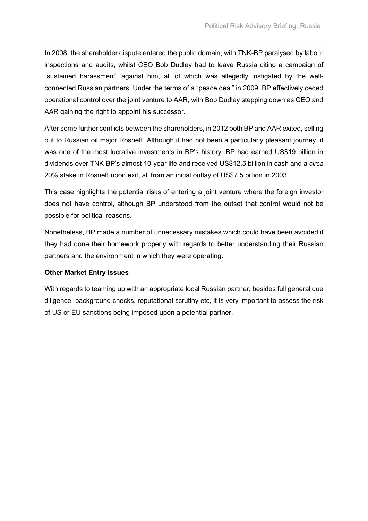In 2008, the shareholder dispute entered the public domain, with TNK-BP paralysed by labour inspections and audits, whilst CEO Bob Dudley had to leave Russia citing a campaign of "sustained harassment" against him, all of which was allegedly instigated by the wellconnected Russian partners. Under the terms of a "peace deal" in 2009, BP effectively ceded operational control over the joint venture to AAR, with Bob Dudley stepping down as CEO and AAR gaining the right to appoint his successor.

 $\mathcal{L}_\text{max}$  , and the contribution of the contribution of the contribution of the contribution of the contribution of the contribution of the contribution of the contribution of the contribution of the contribution of t

After some further conflicts between the shareholders, in 2012 both BP and AAR exited, selling out to Russian oil major Rosneft. Although it had not been a particularly pleasant journey, it was one of the most lucrative investments in BP's history. BP had earned US\$19 billion in dividends over TNK-BP's almost 10-year life and received US\$12.5 billion in cash and a *circa*  20% stake in Rosneft upon exit, all from an initial outlay of US\$7.5 billion in 2003.

This case highlights the potential risks of entering a joint venture where the foreign investor does not have control, although BP understood from the outset that control would not be possible for political reasons.

Nonetheless, BP made a number of unnecessary mistakes which could have been avoided if they had done their homework properly with regards to better understanding their Russian partners and the environment in which they were operating.

#### **Other Market Entry Issues**

With regards to teaming up with an appropriate local Russian partner, besides full general due diligence, background checks, reputational scrutiny etc, it is very important to assess the risk of US or EU sanctions being imposed upon a potential partner.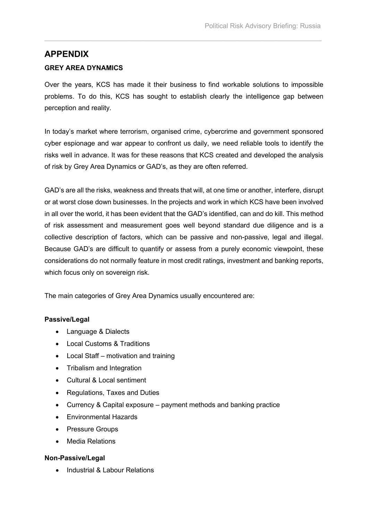## **APPENDIX**

## **GREY AREA DYNAMICS**

Over the years, KCS has made it their business to find workable solutions to impossible problems. To do this, KCS has sought to establish clearly the intelligence gap between perception and reality.

 $\mathcal{L}_\text{max}$  , and the contribution of the contribution of the contribution of the contribution of the contribution of the contribution of the contribution of the contribution of the contribution of the contribution of t

In today's market where terrorism, organised crime, cybercrime and government sponsored cyber espionage and war appear to confront us daily, we need reliable tools to identify the risks well in advance. It was for these reasons that KCS created and developed the analysis of risk by Grey Area Dynamics or GAD's, as they are often referred.

GAD's are all the risks, weakness and threats that will, at one time or another, interfere, disrupt or at worst close down businesses. In the projects and work in which KCS have been involved in all over the world, it has been evident that the GAD's identified, can and do kill. This method of risk assessment and measurement goes well beyond standard due diligence and is a collective description of factors, which can be passive and non-passive, legal and illegal. Because GAD's are difficult to quantify or assess from a purely economic viewpoint, these considerations do not normally feature in most credit ratings, investment and banking reports, which focus only on sovereign risk.

The main categories of Grey Area Dynamics usually encountered are:

### **Passive/Legal**

- Language & Dialects
- Local Customs & Traditions
- Local Staff motivation and training
- Tribalism and Integration
- Cultural & Local sentiment
- Regulations, Taxes and Duties
- Currency & Capital exposure payment methods and banking practice
- Environmental Hazards
- Pressure Groups
- Media Relations

#### **Non-Passive/Legal**

• Industrial & Labour Relations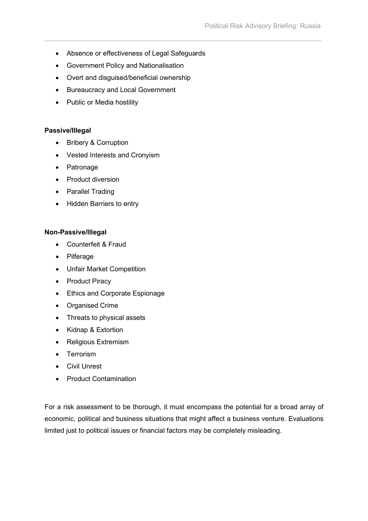• Absence or effectiveness of Legal Safeguards

 $\mathcal{L}_\text{max}$  , and the contribution of the contribution of the contribution of the contribution of the contribution of the contribution of the contribution of the contribution of the contribution of the contribution of t

- Government Policy and Nationalisation
- Overt and disguised/beneficial ownership
- Bureaucracy and Local Government
- Public or Media hostility

#### **Passive/Illegal**

- Bribery & Corruption
- Vested Interests and Cronyism
- Patronage
- Product diversion
- Parallel Trading
- Hidden Barriers to entry

#### **Non-Passive/Illegal**

- Counterfeit & Fraud
- Pilferage
- Unfair Market Competition
- Product Piracy
- Ethics and Corporate Espionage
- Organised Crime
- Threats to physical assets
- Kidnap & Extortion
- Religious Extremism
- Terrorism
- Civil Unrest
- Product Contamination

For a risk assessment to be thorough, it must encompass the potential for a broad array of economic, political and business situations that might affect a business venture. Evaluations limited just to political issues or financial factors may be completely misleading.